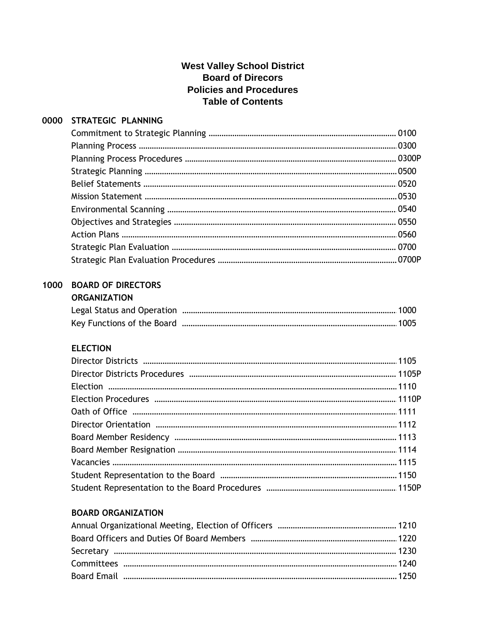| 0000 | STRATEGIC PLANNING        |  |
|------|---------------------------|--|
|      |                           |  |
|      |                           |  |
|      |                           |  |
|      |                           |  |
|      |                           |  |
|      |                           |  |
|      |                           |  |
|      |                           |  |
|      |                           |  |
|      |                           |  |
|      |                           |  |
| 1000 | <b>BOARD OF DIRECTORS</b> |  |
|      | <b>ORGANIZATION</b>       |  |
|      |                           |  |
|      |                           |  |
|      |                           |  |
|      | <b>ELECTION</b>           |  |
|      |                           |  |
|      |                           |  |
|      |                           |  |
|      |                           |  |
|      |                           |  |
|      |                           |  |
|      |                           |  |
|      |                           |  |
|      |                           |  |
|      |                           |  |
|      |                           |  |
|      |                           |  |

# **BOARD ORGANIZATION**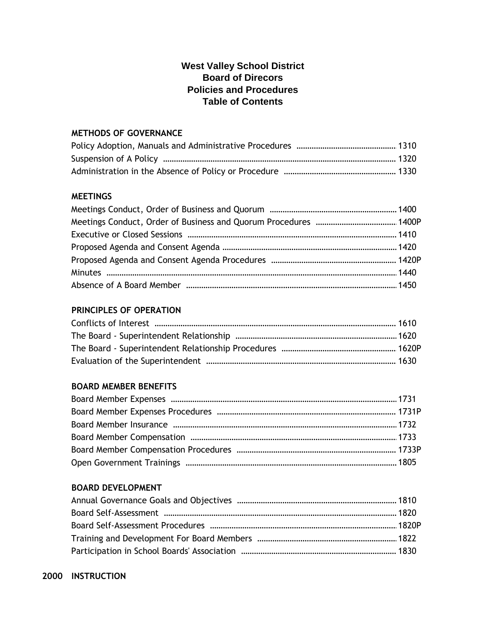#### **METHODS OF GOVERNANCE**

#### **MEETINGS**

#### **PRINCIPLES OF OPERATION**

#### **BOARD MEMBER BENEFITS**

#### **BOARD DEVELOPMENT**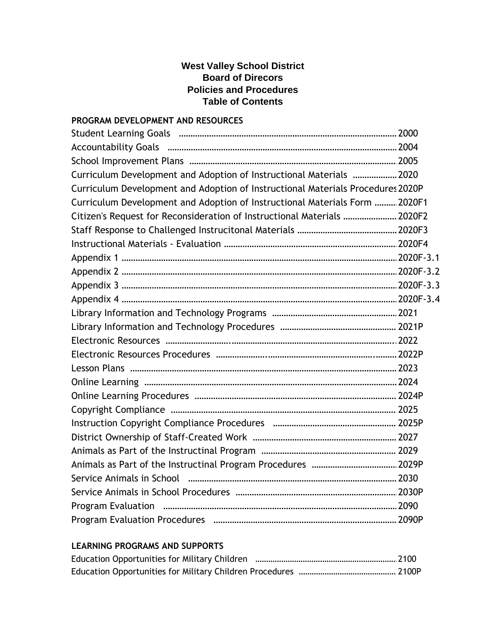## **PROGRAM DEVELOPMENT AND RESOURCES**

| Curriculum Development and Adoption of Instructional Materials  2020            |  |
|---------------------------------------------------------------------------------|--|
| Curriculum Development and Adoption of Instructional Materials Procedures 2020P |  |
| Curriculum Development and Adoption of Instructional Materials Form  2020F1     |  |
| Citizen's Request for Reconsideration of Instructional Materials  2020F2        |  |
|                                                                                 |  |
|                                                                                 |  |
|                                                                                 |  |
|                                                                                 |  |
|                                                                                 |  |
|                                                                                 |  |
|                                                                                 |  |
|                                                                                 |  |
|                                                                                 |  |
|                                                                                 |  |
|                                                                                 |  |
|                                                                                 |  |
|                                                                                 |  |
|                                                                                 |  |
|                                                                                 |  |
|                                                                                 |  |
|                                                                                 |  |
|                                                                                 |  |
|                                                                                 |  |
|                                                                                 |  |
|                                                                                 |  |
|                                                                                 |  |

#### **LEARNING PROGRAMS AND SUPPORTS**

| Education Opportunities for Military Children |  |
|-----------------------------------------------|--|
|                                               |  |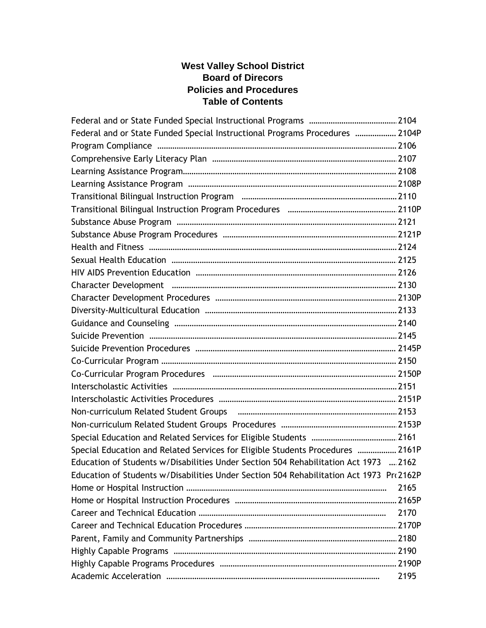| Federal and or State Funded Special Instructional Programs Procedures  2104P            |      |  |
|-----------------------------------------------------------------------------------------|------|--|
|                                                                                         |      |  |
|                                                                                         |      |  |
|                                                                                         |      |  |
|                                                                                         |      |  |
|                                                                                         |      |  |
|                                                                                         |      |  |
|                                                                                         |      |  |
|                                                                                         |      |  |
|                                                                                         |      |  |
|                                                                                         |      |  |
|                                                                                         |      |  |
|                                                                                         |      |  |
|                                                                                         |      |  |
|                                                                                         |      |  |
|                                                                                         |      |  |
|                                                                                         |      |  |
|                                                                                         |      |  |
|                                                                                         |      |  |
|                                                                                         |      |  |
|                                                                                         |      |  |
|                                                                                         |      |  |
|                                                                                         |      |  |
|                                                                                         |      |  |
|                                                                                         |      |  |
| Special Education and Related Services for Eligible Students Procedures  2161P          |      |  |
| Education of Students w/Disabilities Under Section 504 Rehabilitation Act 1973 2162     |      |  |
| Education of Students w/Disabilities Under Section 504 Rehabilitation Act 1973 Pro2162P |      |  |
|                                                                                         | 2165 |  |
|                                                                                         |      |  |
|                                                                                         | 2170 |  |
|                                                                                         |      |  |
|                                                                                         |      |  |
|                                                                                         |      |  |
|                                                                                         |      |  |
|                                                                                         | 2195 |  |
|                                                                                         |      |  |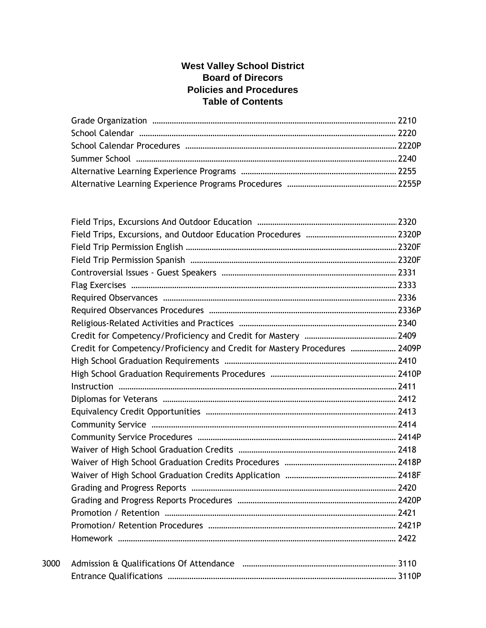|      | Credit for Competency/Proficiency and Credit for Mastery Procedures  2409P |  |
|------|----------------------------------------------------------------------------|--|
|      |                                                                            |  |
|      |                                                                            |  |
|      |                                                                            |  |
|      |                                                                            |  |
|      |                                                                            |  |
|      |                                                                            |  |
|      |                                                                            |  |
|      |                                                                            |  |
|      |                                                                            |  |
|      |                                                                            |  |
|      |                                                                            |  |
|      |                                                                            |  |
|      |                                                                            |  |
|      |                                                                            |  |
|      |                                                                            |  |
| 3000 |                                                                            |  |
|      |                                                                            |  |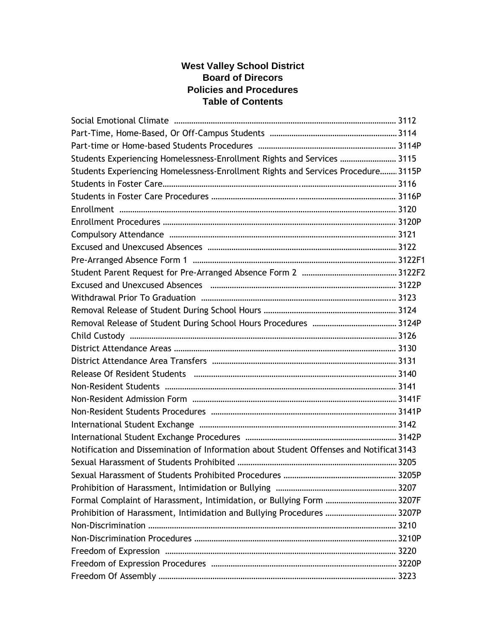| Students Experiencing Homelessness-Enrollment Rights and Services  3115                 |  |
|-----------------------------------------------------------------------------------------|--|
| Students Experiencing Homelessness-Enrollment Rights and Services Procedure 3115P       |  |
|                                                                                         |  |
|                                                                                         |  |
|                                                                                         |  |
|                                                                                         |  |
|                                                                                         |  |
|                                                                                         |  |
|                                                                                         |  |
|                                                                                         |  |
|                                                                                         |  |
|                                                                                         |  |
|                                                                                         |  |
|                                                                                         |  |
|                                                                                         |  |
|                                                                                         |  |
|                                                                                         |  |
|                                                                                         |  |
|                                                                                         |  |
|                                                                                         |  |
|                                                                                         |  |
|                                                                                         |  |
|                                                                                         |  |
| Notification and Dissemination of Information about Student Offenses and Notificat 3143 |  |
|                                                                                         |  |
|                                                                                         |  |
|                                                                                         |  |
| Formal Complaint of Harassment, Intimidation, or Bullying Form  3207F                   |  |
| Prohibition of Harassment, Intimidation and Bullying Procedures  3207P                  |  |
|                                                                                         |  |
|                                                                                         |  |
|                                                                                         |  |
|                                                                                         |  |
|                                                                                         |  |
|                                                                                         |  |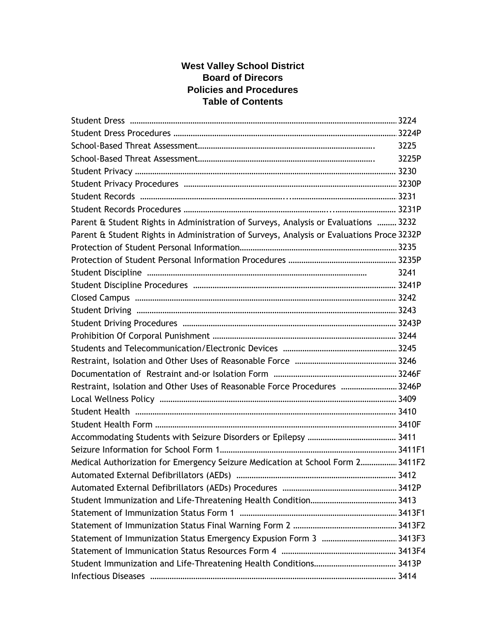|                                                                                           | 3225  |
|-------------------------------------------------------------------------------------------|-------|
|                                                                                           | 3225P |
|                                                                                           |       |
|                                                                                           |       |
|                                                                                           |       |
|                                                                                           |       |
| Parent & Student Rights in Administration of Surveys, Analysis or Evaluations  3232       |       |
| Parent & Student Rights in Administration of Surveys, Analysis or Evaluations Proce 3232P |       |
|                                                                                           |       |
|                                                                                           |       |
|                                                                                           | 3241  |
|                                                                                           |       |
|                                                                                           |       |
|                                                                                           |       |
|                                                                                           |       |
|                                                                                           |       |
|                                                                                           |       |
|                                                                                           |       |
|                                                                                           |       |
| Restraint, Isolation and Other Uses of Reasonable Force Procedures  3246P                 |       |
|                                                                                           |       |
|                                                                                           |       |
|                                                                                           |       |
|                                                                                           |       |
|                                                                                           |       |
| Medical Authorization for Emergency Seizure Medication at School Form 2 3411F2            |       |
|                                                                                           |       |
|                                                                                           |       |
|                                                                                           |       |
|                                                                                           |       |
|                                                                                           |       |
|                                                                                           |       |
|                                                                                           |       |
|                                                                                           |       |
|                                                                                           |       |
|                                                                                           |       |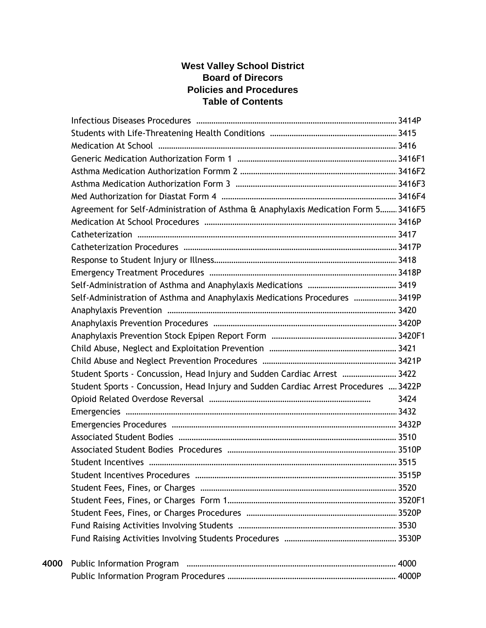|      | Agreement for Self-Administration of Asthma & Anaphylaxis Medication Form 5 3416F5   |      |
|------|--------------------------------------------------------------------------------------|------|
|      |                                                                                      |      |
|      |                                                                                      |      |
|      |                                                                                      |      |
|      |                                                                                      |      |
|      |                                                                                      |      |
|      |                                                                                      |      |
|      | Self-Administration of Asthma and Anaphylaxis Medications Procedures  3419P          |      |
|      |                                                                                      |      |
|      |                                                                                      |      |
|      |                                                                                      |      |
|      |                                                                                      |      |
|      |                                                                                      |      |
|      | Student Sports - Concussion, Head Injury and Sudden Cardiac Arrest  3422             |      |
|      | Student Sports - Concussion, Head Injury and Sudden Cardiac Arrest Procedures  3422P |      |
|      |                                                                                      | 3424 |
|      |                                                                                      |      |
|      |                                                                                      |      |
|      |                                                                                      |      |
|      |                                                                                      |      |
|      |                                                                                      |      |
|      |                                                                                      |      |
|      |                                                                                      |      |
|      |                                                                                      |      |
|      |                                                                                      |      |
|      |                                                                                      |      |
|      |                                                                                      |      |
| 4000 |                                                                                      |      |
|      |                                                                                      |      |
|      |                                                                                      |      |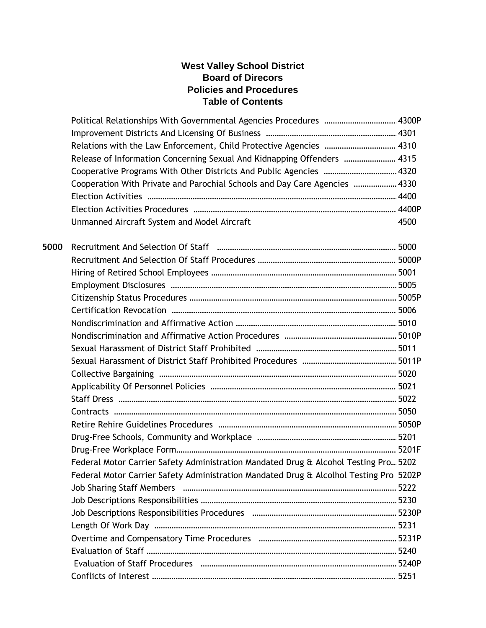|      | Political Relationships With Governmental Agencies Procedures  4300P                   |      |  |
|------|----------------------------------------------------------------------------------------|------|--|
|      |                                                                                        |      |  |
|      | Relations with the Law Enforcement, Child Protective Agencies  4310                    |      |  |
|      | Release of Information Concerning Sexual And Kidnapping Offenders  4315                |      |  |
|      | Cooperative Programs With Other Districts And Public Agencies  4320                    |      |  |
|      | Cooperation With Private and Parochial Schools and Day Care Agencies  4330             |      |  |
|      |                                                                                        |      |  |
|      |                                                                                        |      |  |
|      | Unmanned Aircraft System and Model Aircraft                                            | 4500 |  |
| 5000 |                                                                                        |      |  |
|      |                                                                                        |      |  |
|      |                                                                                        |      |  |
|      |                                                                                        |      |  |
|      |                                                                                        |      |  |
|      |                                                                                        |      |  |
|      |                                                                                        |      |  |
|      |                                                                                        |      |  |
|      |                                                                                        |      |  |
|      |                                                                                        |      |  |
|      |                                                                                        |      |  |
|      |                                                                                        |      |  |
|      |                                                                                        |      |  |
|      |                                                                                        |      |  |
|      |                                                                                        |      |  |
|      |                                                                                        |      |  |
|      |                                                                                        |      |  |
|      | Federal Motor Carrier Safety Administration Mandated Drug & Alcohol Testing Pro 5202   |      |  |
|      | Federal Motor Carrier Safety Administration Mandated Drug & Alcolhol Testing Pro 5202P |      |  |
|      |                                                                                        |      |  |
|      |                                                                                        |      |  |
|      |                                                                                        |      |  |
|      |                                                                                        |      |  |
|      |                                                                                        |      |  |
|      |                                                                                        |      |  |
|      |                                                                                        |      |  |
|      |                                                                                        |      |  |
|      |                                                                                        |      |  |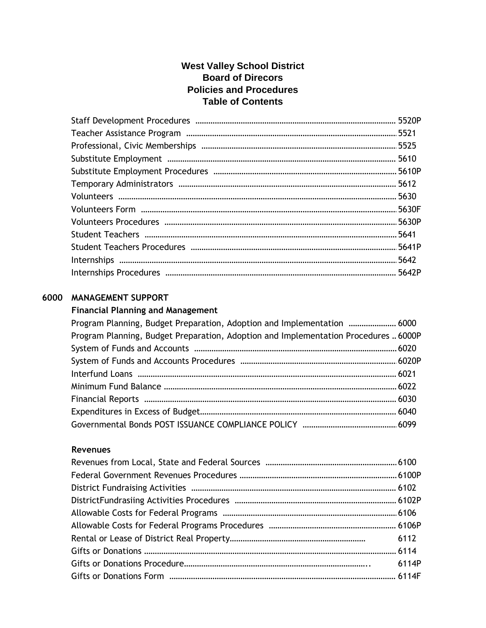# **6000 MANAGEMENT SUPPORT**

#### **Financial Planning and Management**

| Program Planning, Budget Preparation, Adoption and Implementation  6000             |  |
|-------------------------------------------------------------------------------------|--|
| Program Planning, Budget Preparation, Adoption and Implementation Procedures  6000P |  |
|                                                                                     |  |
|                                                                                     |  |
|                                                                                     |  |
|                                                                                     |  |
|                                                                                     |  |
|                                                                                     |  |
|                                                                                     |  |

#### **Revenues**

| 6114P |
|-------|
|       |
|       |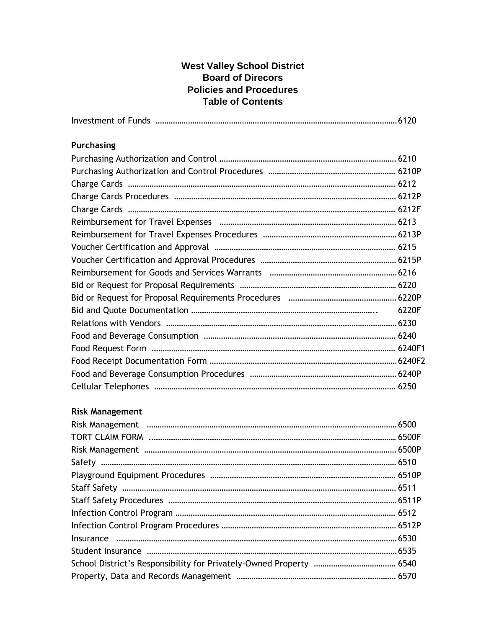| 6220F |
|-------|
|       |
|       |
|       |
|       |
|       |
|       |
|       |

# **Risk Management**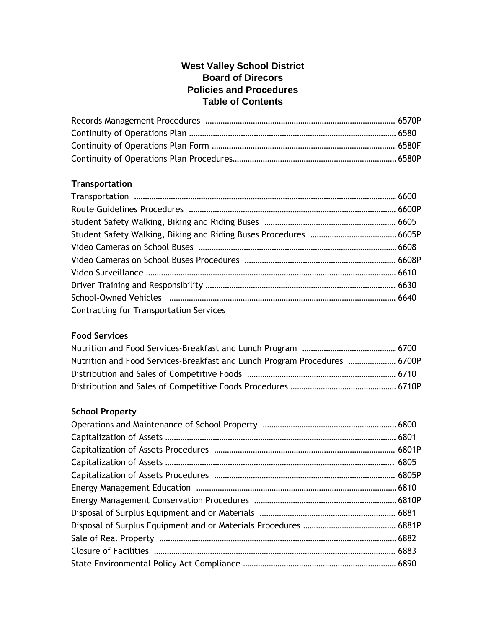## **Transportation**

| <b>Contracting for Transportation Services</b> |  |
|------------------------------------------------|--|

## **Food Services**

| Nutrition and Food Services-Breakfast and Lunch Program Procedures  6700P |  |
|---------------------------------------------------------------------------|--|
|                                                                           |  |
|                                                                           |  |

## **School Property**